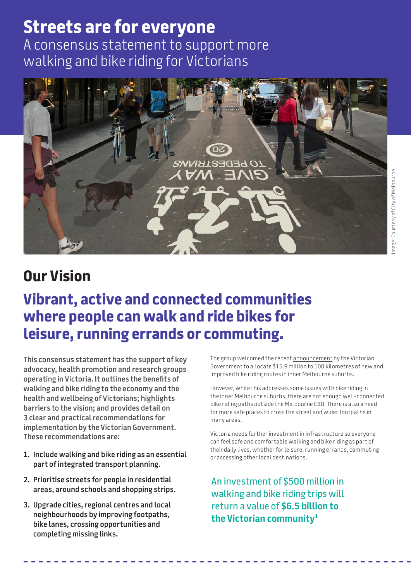## **Streets are for everyone**  A consensus statement to support more walking and bike riding for Victorians



# **Our Vision**

# **Vibrant, active and connected communities where people can walk and ride bikes for leisure, running errands or commuting.**

**This consensus statement has the support of key advocacy, health promotion and research groups operating in Victoria. It outlines the benefits of walking and bike riding to the economy and the health and wellbeing of Victorians; highlights barriers to the vision; and provides detail on 3 clear and practical recommendations for implementation by the Victorian Government. These recommendations are:**

- **1. Include walking and bike riding as an essential part of integrated transport planning.**
- **2. Prioritise streets for people in residential areas, around schools and shopping strips.**
- **3. Upgrade cities, regional centres and local neighbourhoods by improving footpaths, bike lanes, crossing opportunities and completing missing links.**

The group welcomed the recent [announcement](https://www.premier.vic.gov.au/safer-cycling-and-more-routes-keep-melbourne-moving) by the Victorian Government to allocate \$15.9 million to 100 kilometres of new and improved bike riding routes in inner Melbourne suburbs.

However, while this addresses some issues with bike riding in the inner Melbourne suburbs, there are not enough well-connected bike riding paths outside the Melbourne CBD. There is also a need for more safe places to cross the street and wider footpaths in many areas.

Victoria needs further investment in infrastructure so everyone can feel safe and comfortable walking and bike riding as part of their daily lives, whether for leisure, running errands, commuting or accessing other local destinations.

An investment of \$500 million in walking and bike riding trips will return a value of **\$6.5 billion to the Victorian community1**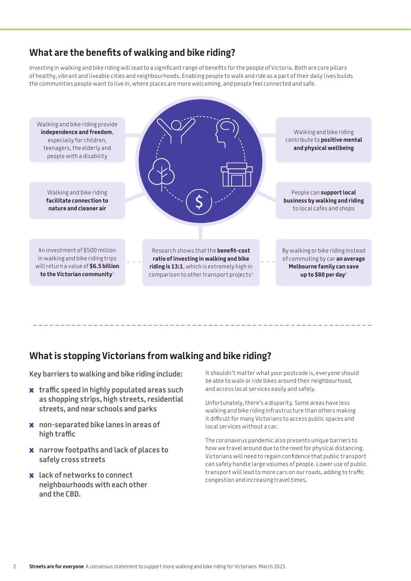## **What are the benefits of walking and bike riding?**

Investing in walking and bike riding will lead to a significant range of benefits for the people of Victoria. Both are core pillars of healthy, vibrant and liveable cities and neighbourhoods. Enabling people to walk and ride as a part of their daily lives builds the communities people want to live in, where places are more welcoming, and people feel connected and safe.



### **What is stopping Victorians from walking and bike riding?**

**Key barriers to walking and bike riding include:**

- **x traffic speed in highly populated areas such as shopping strips, high streets, residential streets, and near schools and parks**
- **x non-separated bike lanes in areas of high traffic**
- **x narrow footpaths and lack of places to safely cross streets**
- **x lack of networks to connect neighbourhoods with each other and the CBD.**

It shouldn't matter what your postcode is, everyone should be able to walk or ride bikes around their neighbourhood, and access local services easily and safely.

Unfortunately, there's a disparity. Some areas have less walking and bike riding infrastructure than others making it difficult for many Victorians to access public spaces and local services without a car.

The coronavirus pandemic also presents unique barriers to how we travel around due to the need for physical distancing. Victorians will need to regain confidence that public transport can safely handle large volumes of people. Lower use of public transport will lead to more cars on our roads, adding to traffic congestion and increasing travel times.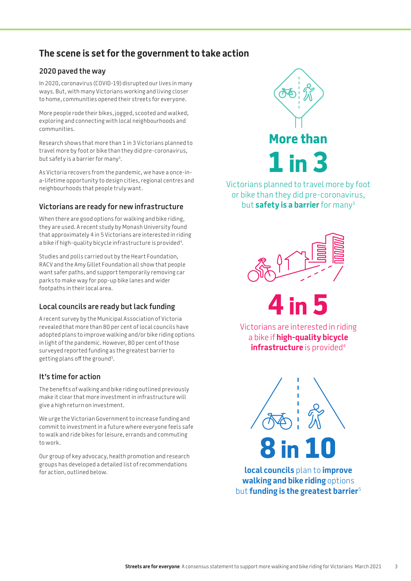## **The scene is set for the government to take action**

#### **2020 paved the way**

In 2020, coronavirus (COVID-19) disrupted our lives in many ways. But, with many Victorians working and living closer to home, communities opened their streets for everyone.

More people rode their bikes, jogged, scooted and walked, exploring and connecting with local neighbourhoods and communities.

Research shows that more than 1 in 3 Victorians planned to travel more by foot or bike than they did pre-coronavirus, but safety is a barrier for many<sup>3</sup>.

As Victoria recovers from the pandemic, we have a once-ina-lifetime opportunity to design cities, regional centres and neighbourhoods that people truly want.

#### **Victorians are ready for new infrastructure**

When there are good options for walking and bike riding, they are used. A recent study by Monash University found that approximately 4 in 5 Victorians are interested in riding a bike if high-quality bicycle infrastructure is provided<sup>4</sup>.

Studies and polls carried out by the Heart Foundation, RACV and the Amy Gillet Foundation all show that people want safer paths, and support temporarily removing car parks to make way for pop-up bike lanes and wider footpaths in their local area.

#### **Local councils are ready but lack funding**

A recent survey by the Municipal Association of Victoria revealed that more than 80 per cent of local councils have adopted plans to improve walking and/or bike riding options in light of the pandemic. However, 80 per cent of those surveyed reported funding as the greatest barrier to getting plans off the ground5 .

#### **It's time for action**

The benefits of walking and bike riding outlined previously make it clear that more investment in infrastructure will give a high return on investment.

We urge the Victorian Government to increase funding and commit to investment in a future where everyone feels safe to walk and ride bikes for leisure, errands and commuting to work.

Our group of key advocacy, health promotion and research groups has developed a detailed list of recommendations for action, outlined below.



Victorians planned to travel more by foot or bike than they did pre-coronavirus, but **safety is a barrier** for many3





Victorians are interested in riding a bike if **high-quality bicycle infrastructure** is provided<sup>4</sup>

**8 in 10**

**local councils** plan to **improve walking and bike riding** options but **funding is the greatest barrier**<sup>5</sup>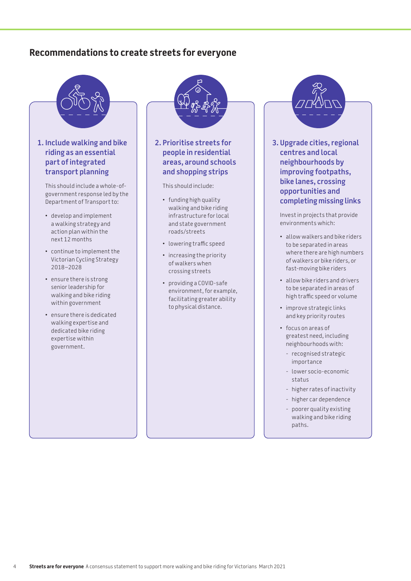### **Recommendations to create streets for everyone**



#### **1. Include walking and bike riding as an essential part of integrated transport planning**

This should include a whole-ofgovernment response led by the Department of Transport to:

- develop and implement a walking strategy and action plan within the next 12 months
- continue to implement the Victorian Cycling Strategy 2018–2028
- ensure there is strong senior leadership for walking and bike riding within government
- ensure there is dedicated walking expertise and dedicated bike riding expertise within government.



#### **2. Prioritise streets for people in residential areas, around schools and shopping strips**

This should include:

- funding high quality walking and bike riding infrastructure for local and state government roads/streets
- lowering traffic speed
- increasing the priority of walkers when crossing streets
- providing a COVID-safe environment, for example, facilitating greater ability to physical distance.



**3. Upgrade cities, regional centres and local neighbourhoods by improving footpaths, bike lanes, crossing opportunities and completing missing links**

Invest in projects that provide environments which:

- allow walkers and bike riders to be separated in areas where there are high numbers of walkers or bike riders, or fast-moving bike riders
- allow bike riders and drivers to be separated in areas of high traffic speed or volume
- improve strategic links and key priority routes
- focus on areas of greatest need, including neighbourhoods with:
	- recognised strategic importance
	- lower socio-economic status
	- higher rates of inactivity
	- higher car dependence
	- poorer quality existing walking and bike riding paths.